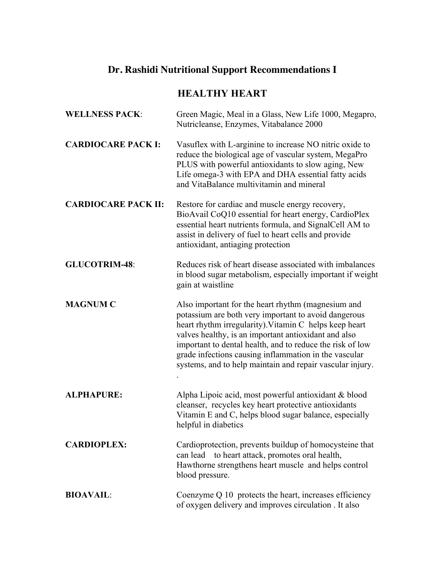## **Dr. Rashidi Nutritional Support Recommendations I**

## **HEALTHY HEART**

| <b>WELLNESS PACK:</b>      | Green Magic, Meal in a Glass, New Life 1000, Megapro,<br>Nutricleanse, Enzymes, Vitabalance 2000                                                                                                                                                                                                                                                                                                                |
|----------------------------|-----------------------------------------------------------------------------------------------------------------------------------------------------------------------------------------------------------------------------------------------------------------------------------------------------------------------------------------------------------------------------------------------------------------|
| <b>CARDIOCARE PACK I:</b>  | Vasuflex with L-arginine to increase NO nitric oxide to<br>reduce the biological age of vascular system, MegaPro<br>PLUS with powerful antioxidants to slow aging, New<br>Life omega-3 with EPA and DHA essential fatty acids<br>and VitaBalance multivitamin and mineral                                                                                                                                       |
| <b>CARDIOCARE PACK II:</b> | Restore for cardiac and muscle energy recovery,<br>BioAvail CoQ10 essential for heart energy, CardioPlex<br>essential heart nutrients formula, and SignalCell AM to<br>assist in delivery of fuel to heart cells and provide<br>antioxidant, antiaging protection                                                                                                                                               |
| <b>GLUCOTRIM-48:</b>       | Reduces risk of heart disease associated with imbalances<br>in blood sugar metabolism, especially important if weight<br>gain at waistline                                                                                                                                                                                                                                                                      |
| <b>MAGNUM C</b>            | Also important for the heart rhythm (magnesium and<br>potassium are both very important to avoid dangerous<br>heart rhythm irregularity). Vitamin C helps keep heart<br>valves healthy, is an important antioxidant and also<br>important to dental health, and to reduce the risk of low<br>grade infections causing inflammation in the vascular<br>systems, and to help maintain and repair vascular injury. |
| <b>ALPHAPURE:</b>          | Alpha Lipoic acid, most powerful antioxidant & blood<br>cleanser, recycles key heart protective antioxidants<br>Vitamin E and C, helps blood sugar balance, especially<br>helpful in diabetics                                                                                                                                                                                                                  |
| <b>CARDIOPLEX:</b>         | Cardioprotection, prevents buildup of homocysteine that<br>to heart attack, promotes oral health,<br>can lead<br>Hawthorne strengthens heart muscle and helps control<br>blood pressure.                                                                                                                                                                                                                        |
| <b>BIOAVAIL:</b>           | Coenzyme Q 10 protects the heart, increases efficiency<br>of oxygen delivery and improves circulation. It also                                                                                                                                                                                                                                                                                                  |